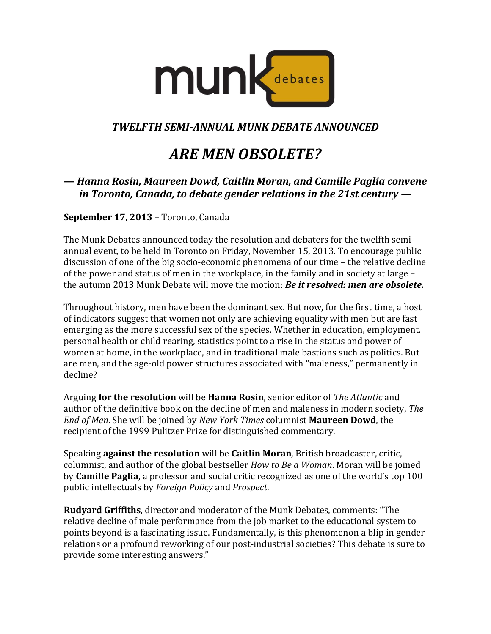

## *TWELFTH SEMI-ANNUAL MUNK DEBATE ANNOUNCED*

# *ARE MEN OBSOLETE?*

## *— Hanna Rosin, Maureen Dowd, Caitlin Moran, and Camille Paglia convene in Toronto, Canada, to debate gender relations in the 21st century —*

### **September 17, 2013** – Toronto, Canada

The Munk Debates announced today the resolution and debaters for the twelfth semiannual event, to be held in Toronto on Friday, November 15, 2013. To encourage public discussion of one of the big socio-economic phenomena of our time – the relative decline of the power and status of men in the workplace, in the family and in society at large – the autumn 2013 Munk Debate will move the motion: *Be it resolved: men are obsolete.*

Throughout history, men have been the dominant sex. But now, for the first time, a host of indicators suggest that women not only are achieving equality with men but are fast emerging as the more successful sex of the species. Whether in education, employment, personal health or child rearing, statistics point to a rise in the status and power of women at home, in the workplace, and in traditional male bastions such as politics. But are men, and the age-old power structures associated with "maleness," permanently in decline?

Arguing **for the resolution** will be **Hanna Rosin**, senior editor of *The Atlantic* and author of the definitive book on the decline of men and maleness in modern society, *The End of Men*. She will be joined by *New York Times* columnist **Maureen Dowd**, the recipient of the 1999 Pulitzer Prize for distinguished commentary.

Speaking **against the resolution** will be **Caitlin Moran**, British broadcaster, critic, columnist, and author of the global bestseller *How to Be a Woman*. Moran will be joined by **Camille Paglia**, a professor and social critic recognized as one of the world's top 100 public intellectuals by *Foreign Policy* and *Prospect*.

**Rudyard Griffiths**, director and moderator of the Munk Debates, comments: "The relative decline of male performance from the job market to the educational system to points beyond is a fascinating issue. Fundamentally, is this phenomenon a blip in gender relations or a profound reworking of our post-industrial societies? This debate is sure to provide some interesting answers."